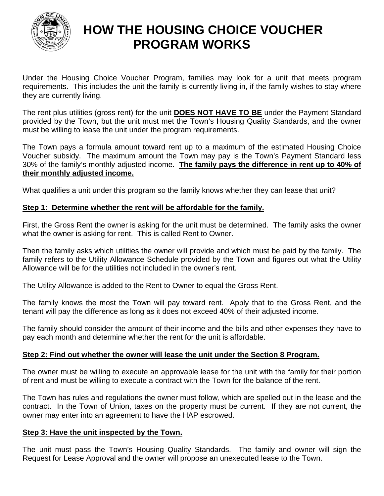

# **HOW THE HOUSING CHOICE VOUCHER PROGRAM WORKS**

Under the Housing Choice Voucher Program, families may look for a unit that meets program requirements. This includes the unit the family is currently living in, if the family wishes to stay where they are currently living.

The rent plus utilities (gross rent) for the unit **DOES NOT HAVE TO BE** under the Payment Standard provided by the Town, but the unit must met the Town's Housing Quality Standards, and the owner must be willing to lease the unit under the program requirements.

The Town pays a formula amount toward rent up to a maximum of the estimated Housing Choice Voucher subsidy. The maximum amount the Town may pay is the Town's Payment Standard less 30% of the family's monthly-adjusted income. **The family pays the difference in rent up to 40% of their monthly adjusted income.**

What qualifies a unit under this program so the family knows whether they can lease that unit?

## **Step 1: Determine whether the rent will be affordable for the family.**

First, the Gross Rent the owner is asking for the unit must be determined. The family asks the owner what the owner is asking for rent. This is called Rent to Owner.

Then the family asks which utilities the owner will provide and which must be paid by the family. The family refers to the Utility Allowance Schedule provided by the Town and figures out what the Utility Allowance will be for the utilities not included in the owner's rent.

The Utility Allowance is added to the Rent to Owner to equal the Gross Rent.

The family knows the most the Town will pay toward rent. Apply that to the Gross Rent, and the tenant will pay the difference as long as it does not exceed 40% of their adjusted income.

The family should consider the amount of their income and the bills and other expenses they have to pay each month and determine whether the rent for the unit is affordable.

## **Step 2: Find out whether the owner will lease the unit under the Section 8 Program.**

The owner must be willing to execute an approvable lease for the unit with the family for their portion of rent and must be willing to execute a contract with the Town for the balance of the rent.

The Town has rules and regulations the owner must follow, which are spelled out in the lease and the contract. In the Town of Union, taxes on the property must be current. If they are not current, the owner may enter into an agreement to have the HAP escrowed.

## **Step 3: Have the unit inspected by the Town.**

The unit must pass the Town's Housing Quality Standards. The family and owner will sign the Request for Lease Approval and the owner will propose an unexecuted lease to the Town.